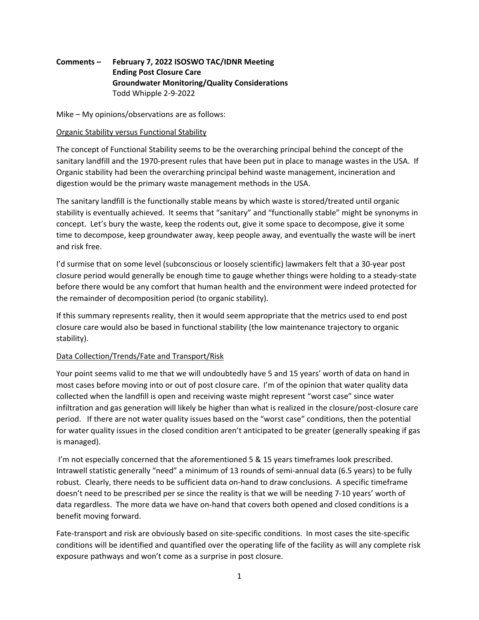# **Comments – February 7, 2022 ISOSWO TAC/IDNR Meeting Ending Post Closure Care Groundwater Monitoring/Quality Considerations** Todd Whipple 2‐9‐2022

Mike – My opinions/observations are as follows:

#### Organic Stability versus Functional Stability

The concept of Functional Stability seems to be the overarching principal behind the concept of the sanitary landfill and the 1970‐present rules that have been put in place to manage wastes in the USA. If Organic stability had been the overarching principal behind waste management, incineration and digestion would be the primary waste management methods in the USA.

The sanitary landfill is the functionally stable means by which waste is stored/treated until organic stability is eventually achieved. It seems that "sanitary" and "functionally stable" might be synonyms in concept. Let's bury the waste, keep the rodents out, give it some space to decompose, give it some time to decompose, keep groundwater away, keep people away, and eventually the waste will be inert and risk free.

I'd surmise that on some level (subconscious or loosely scientific) lawmakers felt that a 30‐year post closure period would generally be enough time to gauge whether things were holding to a steady‐state before there would be any comfort that human health and the environment were indeed protected for the remainder of decomposition period (to organic stability).

If this summary represents reality, then it would seem appropriate that the metrics used to end post closure care would also be based in functional stability (the low maintenance trajectory to organic stability).

## Data Collection/Trends/Fate and Transport/Risk

Your point seems valid to me that we will undoubtedly have 5 and 15 years' worth of data on hand in most cases before moving into or out of post closure care. I'm of the opinion that water quality data collected when the landfill is open and receiving waste might represent "worst case" since water infiltration and gas generation will likely be higher than what is realized in the closure/post‐closure care period. If there are not water quality issues based on the "worst case" conditions, then the potential for water quality issues in the closed condition aren't anticipated to be greater (generally speaking if gas is managed).

I'm not especially concerned that the aforementioned 5 & 15 years timeframes look prescribed. Intrawell statistic generally "need" a minimum of 13 rounds of semi‐annual data (6.5 years) to be fully robust. Clearly, there needs to be sufficient data on‐hand to draw conclusions. A specific timeframe doesn't need to be prescribed per se since the reality is that we will be needing 7‐10 years' worth of data regardless. The more data we have on-hand that covers both opened and closed conditions is a benefit moving forward.

Fate-transport and risk are obviously based on site-specific conditions. In most cases the site-specific conditions will be identified and quantified over the operating life of the facility as will any complete risk exposure pathways and won't come as a surprise in post closure.